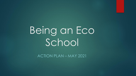# Being an Eco School

ACTION PLAN – MAY 2021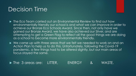#### Decision Time

- ▶ The Eco Team carried out an Environmental Review to find out how environmentally friendly our school is and what we can improve in order to achieve our Bronze Eco Schools Award. Since then, not only have we gained our Bronze Award, we have also achieved our Silver, and are attempting to get a Green Flag to reflect all the good things we are doing as a school to become more environmentally friendly.
- We came up with three areas that we felt we needed to work on and an Action Plan to help us to do this. Unfortunately, following the Covid-19 pandemic, a few things had to be altered slightly, but our main areas of focus stayed the same.

The 3 areas are: LITTER, ENERGY & WASTE.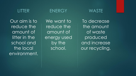

Our aim is to reduce the amount of litter in the school and the local environment.

#### ENERGY

We want to reduce the amount of energy used by the school.



To decrease the amount of waste produced and increase our recycling.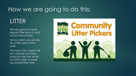### How we are going to do this:

### LITTER

We are going to have regular litter picks in and around the school.

Once a term we will also do a litter pick in the park.

The Year 5 Eco Team will be carrying out these picks but we can all do our bit to help to keep our school litter-free.

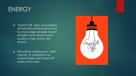#### ENERGY

Switch Off' signs and posters' will be placed around school to encourage people to turn off lights and clever touch screens when rooms are empty.

▶ We will be carrying out 'spot checks' in classrooms to ensure these are turned off when not in use!

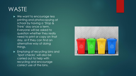## **WASTE**

- ▶ We want to encourage less printing and photocopying at school by having a 'Stop & Think' day once a term. Everyone will be asked to question whether they really need to print or copy on that day, or if they can find an alternative way of doing things.
- **Emptying of recycling bins and** 'Spot checks' will also be carried out to help with recycling and encourage correct use of the bins.